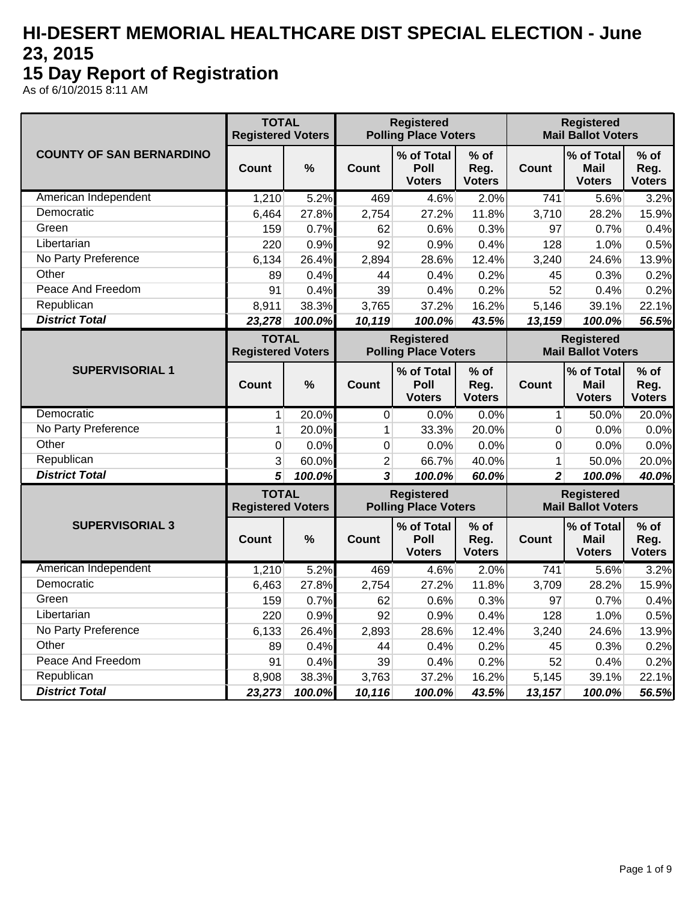## **HI-DESERT MEMORIAL HEALTHCARE DIST SPECIAL ELECTION - June 23, 2015**

## **15 Day Report of Registration**

As of 6/10/2015 8:11 AM

|                                 | <b>TOTAL</b><br><b>Registered Voters</b> |               |                                                  | <b>Registered</b><br><b>Polling Place Voters</b> |                                 |                | <b>Registered</b><br><b>Mail Ballot Voters</b> |                                                  |  |  |  |
|---------------------------------|------------------------------------------|---------------|--------------------------------------------------|--------------------------------------------------|---------------------------------|----------------|------------------------------------------------|--------------------------------------------------|--|--|--|
| <b>COUNTY OF SAN BERNARDINO</b> | Count                                    | $\frac{0}{0}$ | Count                                            | % of Total<br><b>Poll</b><br><b>Voters</b>       | % of<br>Reg.<br><b>Voters</b>   | <b>Count</b>   | % of Total<br>Mail<br><b>Voters</b>            | $%$ of<br>Reg.<br><b>Voters</b>                  |  |  |  |
| American Independent            | 1,210                                    | 5.2%          | 469                                              | 4.6%                                             | 2.0%                            | 741            | 5.6%                                           | 3.2%                                             |  |  |  |
| Democratic                      | 6,464                                    | 27.8%         | 2,754                                            | 27.2%                                            | 11.8%                           | 3,710          | 28.2%                                          | 15.9%                                            |  |  |  |
| Green                           | 159                                      | 0.7%          | 62                                               | 0.6%                                             | 0.3%                            | 97             | 0.7%                                           | 0.4%                                             |  |  |  |
| Libertarian                     | 220                                      | 0.9%          | 92                                               | 0.9%                                             | 0.4%                            | 128            | 1.0%                                           | 0.5%                                             |  |  |  |
| No Party Preference             | 6,134                                    | 26.4%         | 2,894                                            | 28.6%                                            | 12.4%                           | 3,240          | 24.6%                                          | 13.9%                                            |  |  |  |
| Other                           | 89                                       | 0.4%          | 44                                               | 0.4%                                             | 0.2%                            | 45             | 0.3%                                           | 0.2%                                             |  |  |  |
| Peace And Freedom               | 91                                       | 0.4%          | 39                                               | 0.4%                                             | 0.2%                            | 52             | 0.4%                                           | 0.2%                                             |  |  |  |
| Republican                      | 8,911                                    | 38.3%         | 3,765                                            | 37.2%                                            | 16.2%                           | 5,146          | 39.1%                                          | 22.1%                                            |  |  |  |
| <b>District Total</b>           | 23,278                                   | 100.0%        | 10,119                                           | 100.0%                                           | 43.5%                           | 13,159         | 100.0%                                         | 56.5%                                            |  |  |  |
|                                 | <b>TOTAL</b><br><b>Registered Voters</b> |               |                                                  | <b>Registered</b><br><b>Polling Place Voters</b> |                                 |                | <b>Registered</b><br><b>Mail Ballot Voters</b> |                                                  |  |  |  |
| <b>SUPERVISORIAL 1</b>          | <b>Count</b>                             | $\frac{0}{0}$ | <b>Count</b>                                     | % of Total<br>Poll<br><b>Voters</b>              | $%$ of<br>Reg.<br><b>Voters</b> | <b>Count</b>   | % of Total<br><b>Mail</b><br><b>Voters</b>     | $%$ of<br>Reg.<br><b>Voters</b>                  |  |  |  |
| Democratic                      | 1                                        | 20.0%         | $\mathbf 0$                                      | 0.0%                                             | 0.0%                            | 1              | 50.0%                                          | 20.0%                                            |  |  |  |
| No Party Preference             | $\mathbf{1}$                             | 20.0%         | $\mathbf{1}$                                     | 33.3%                                            | 20.0%                           | 0              | 0.0%                                           | 0.0%                                             |  |  |  |
| Other                           | 0                                        | 0.0%          | $\boldsymbol{0}$                                 | 0.0%                                             | 0.0%                            | 0              | 0.0%                                           | 0.0%                                             |  |  |  |
| Republican                      | 3                                        | 60.0%         | $\overline{c}$                                   | 66.7%                                            | 40.0%                           | 1              | 50.0%                                          |                                                  |  |  |  |
| <b>District Total</b>           | 5                                        | 100.0%        | 3                                                | 100.0%                                           | 60.0%                           | $\overline{2}$ | 100.0%                                         | 40.0%                                            |  |  |  |
|                                 | <b>TOTAL</b><br><b>Registered Voters</b> |               | <b>Registered</b><br><b>Polling Place Voters</b> |                                                  |                                 |                | <b>Registered</b><br><b>Mail Ballot Voters</b> | 20.0%<br>$%$ of<br>Reg.<br><b>Voters</b><br>3.2% |  |  |  |
| <b>SUPERVISORIAL 3</b>          | <b>Count</b>                             | $\frac{0}{0}$ | <b>Count</b>                                     | % of Total<br>Poll<br><b>Voters</b>              | $%$ of<br>Reg.<br><b>Voters</b> | <b>Count</b>   | % of Total<br><b>Mail</b><br><b>Voters</b>     |                                                  |  |  |  |
| American Independent            | 1,210                                    | 5.2%          | 469                                              | 4.6%                                             | 2.0%                            | 741            | 5.6%                                           |                                                  |  |  |  |
| Democratic                      | 6,463                                    | 27.8%         | 2,754                                            | 27.2%                                            | 11.8%                           | 3,709          | 28.2%                                          | 15.9%                                            |  |  |  |
| Green                           | 159                                      | 0.7%          | 62                                               | 0.6%                                             | 0.3%                            | 97             | 0.7%                                           | 0.4%                                             |  |  |  |
| Libertarian                     | 220                                      | 0.9%          | 92                                               | 0.9%                                             | 0.4%                            | 128            | 1.0%                                           | 0.5%                                             |  |  |  |
| No Party Preference             | 6,133                                    | 26.4%         | 2,893                                            | 28.6%                                            | 12.4%                           | 3,240          | 24.6%                                          | 13.9%                                            |  |  |  |
| Other                           | 89                                       | 0.4%          | 44                                               | 0.4%                                             | 0.2%                            | 45             | 0.3%                                           | 0.2%                                             |  |  |  |
| Peace And Freedom               | 91                                       | 0.4%          | 39                                               | 0.4%                                             | 0.2%                            | 52             | 0.4%                                           | 0.2%                                             |  |  |  |
| Republican                      | 8,908                                    | 38.3%         | 3,763                                            | 37.2%                                            | 16.2%                           | 5,145          | 39.1%                                          | 22.1%                                            |  |  |  |
| <b>District Total</b>           | 23,273                                   | 100.0%        | 10,116                                           | 100.0%                                           | 43.5%                           | 13,157         | 100.0%                                         | 56.5%                                            |  |  |  |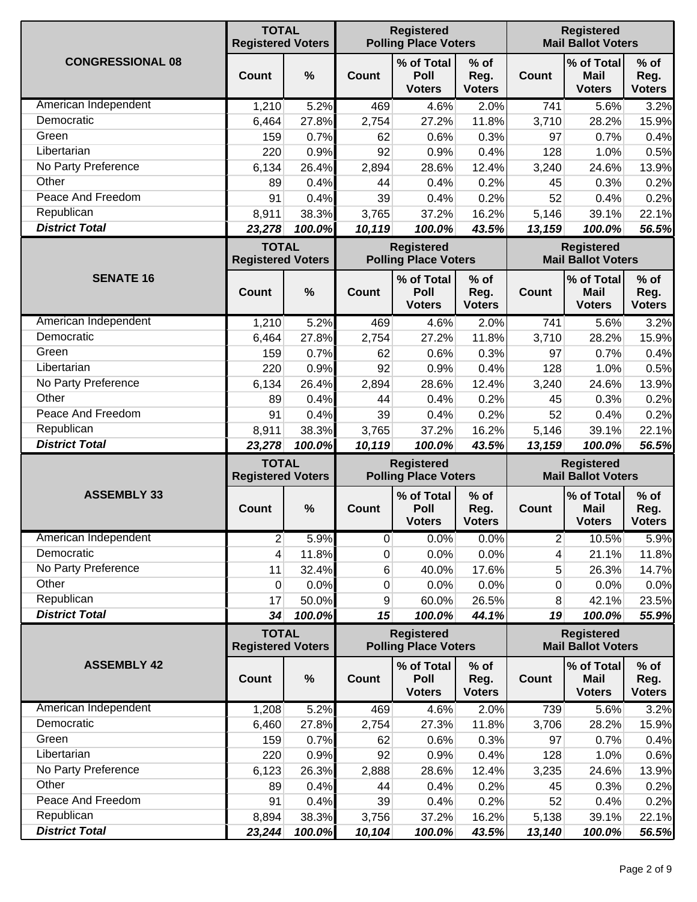|                                     | <b>TOTAL</b><br><b>Registered Voters</b> |                 |                 | <b>Registered</b><br><b>Polling Place Voters</b> |                                 |                                                | <b>Registered</b><br><b>Mail Ballot Voters</b> |                                 |  |
|-------------------------------------|------------------------------------------|-----------------|-----------------|--------------------------------------------------|---------------------------------|------------------------------------------------|------------------------------------------------|---------------------------------|--|
| <b>CONGRESSIONAL 08</b>             | Count                                    | %               | Count           | % of Total<br>Poll<br><b>Voters</b>              | $%$ of<br>Reg.<br><b>Voters</b> | <b>Count</b>                                   | % of Total<br><b>Mail</b><br><b>Voters</b>     | $%$ of<br>Reg.<br><b>Voters</b> |  |
| American Independent                | 1,210                                    | 5.2%            | 469             | 4.6%                                             | 2.0%                            | 741                                            | 5.6%                                           | 3.2%                            |  |
| Democratic                          | 6,464                                    | 27.8%           | 2,754           | 27.2%                                            | 11.8%                           | 3,710                                          | 28.2%                                          | 15.9%                           |  |
| Green                               | 159                                      | 0.7%            | 62              | 0.6%                                             | 0.3%                            | 97                                             | 0.7%                                           | 0.4%                            |  |
| Libertarian                         | 220                                      | 0.9%            | 92              | 0.9%                                             | 0.4%                            | 128                                            | 1.0%                                           | 0.5%                            |  |
| No Party Preference                 | 6,134                                    | 26.4%           | 2,894           | 28.6%                                            | 12.4%                           | 3,240                                          | 24.6%                                          | 13.9%                           |  |
| Other                               | 89                                       | 0.4%            | 44              | 0.4%                                             | 0.2%                            | 45                                             | 0.3%                                           | 0.2%                            |  |
| Peace And Freedom                   | 91                                       | 0.4%            | 39              | 0.4%                                             | 0.2%                            | 52                                             | 0.4%                                           | 0.2%                            |  |
| Republican                          | 8,911                                    | 38.3%           | 3,765           | 37.2%                                            | 16.2%                           | 5,146                                          | 39.1%                                          | 22.1%                           |  |
| <b>District Total</b>               | 23,278                                   | 100.0%          | 10,119          | 100.0%                                           | 43.5%                           | 13,159                                         | 100.0%                                         | 56.5%                           |  |
|                                     | <b>TOTAL</b><br><b>Registered Voters</b> |                 |                 | <b>Registered</b><br><b>Polling Place Voters</b> |                                 |                                                | <b>Registered</b><br><b>Mail Ballot Voters</b> |                                 |  |
| <b>SENATE 16</b>                    | Count                                    | %               | Count           | % of Total<br>Poll<br><b>Voters</b>              | $%$ of<br>Reg.<br><b>Voters</b> | <b>Count</b>                                   | % of Total<br><b>Mail</b><br><b>Voters</b>     | $%$ of<br>Reg.<br><b>Voters</b> |  |
| American Independent                | 1,210                                    | 5.2%            | 469             | 4.6%                                             | 2.0%                            | 741                                            | 5.6%                                           | 3.2%                            |  |
| Democratic                          | 6,464                                    | 27.8%           | 2,754           | 27.2%                                            | 11.8%                           | 3,710                                          | 28.2%                                          | 15.9%                           |  |
| Green                               | 159                                      | 0.7%            | 62              | 0.6%                                             | 0.3%                            | 97                                             | 0.7%                                           | 0.4%                            |  |
| Libertarian                         | 220                                      | 0.9%            | 92              | 0.9%                                             | 0.4%                            | 128                                            | 1.0%                                           | 0.5%                            |  |
| No Party Preference                 | 6,134                                    | 26.4%           | 2,894           | 28.6%                                            | 12.4%                           | 3,240                                          | 24.6%                                          | 13.9%                           |  |
| Other                               | 89                                       | 0.4%            | 44              | 0.4%                                             | 0.2%                            | 45                                             | 0.3%                                           | 0.2%                            |  |
| Peace And Freedom                   | 91                                       | 0.4%            | 39              | 0.4%                                             | 0.2%                            | 52                                             | 0.4%                                           | 0.2%                            |  |
| Republican                          | 8,911                                    | 38.3%           | 3,765           | 37.2%                                            | 16.2%                           | 5,146                                          | 39.1%                                          | 22.1%                           |  |
| <b>District Total</b>               | 23,278                                   | 100.0%          | 10,119          | 100.0%                                           | 43.5%                           | 13,159                                         | 100.0%                                         | 56.5%                           |  |
|                                     | <b>TOTAL</b><br><b>Registered Voters</b> |                 |                 | <b>Registered</b><br><b>Polling Place Voters</b> |                                 |                                                | <b>Registered</b><br><b>Mail Ballot Voters</b> |                                 |  |
| <b>ASSEMBLY 33</b>                  | <b>Count</b>                             | $\%$            | <b>Count</b>    | % of Total<br>Poll<br><b>Voters</b>              | $%$ of<br>Reg.<br><b>Voters</b> | Count                                          | % of Total<br><b>Mail</b><br><b>Voters</b>     | $%$ of<br>Reg.<br><b>Voters</b> |  |
| American Independent                | $\overline{2}$                           | 5.9%            | $\overline{0}$  | 0.0%                                             | 0.0%                            | $2 \nvert$                                     | 10.5%                                          | 5.9%                            |  |
| Democratic                          | 4                                        | 11.8%           | 0               | 0.0%                                             | 0.0%                            | 4                                              | 21.1%                                          | 11.8%                           |  |
| No Party Preference                 | 11                                       | 32.4%           | 6               | 40.0%                                            | 17.6%                           | 5                                              | 26.3%                                          | 14.7%                           |  |
| Other                               | 0                                        | 0.0%            | 0               | 0.0%                                             | 0.0%                            | 0                                              | 0.0%                                           | 0.0%                            |  |
| Republican                          | 17                                       | 50.0%           | 9               | 60.0%                                            | 26.5%                           | 8                                              | 42.1%                                          | 23.5%                           |  |
| <b>District Total</b>               | 34                                       | 100.0%          | 15              | 100.0%                                           | 44.1%                           | 19                                             | 100.0%                                         | 55.9%                           |  |
|                                     | <b>TOTAL</b><br><b>Registered Voters</b> |                 |                 | <b>Registered</b><br><b>Polling Place Voters</b> |                                 | <b>Registered</b><br><b>Mail Ballot Voters</b> |                                                |                                 |  |
| <b>ASSEMBLY 42</b>                  | <b>Count</b>                             | %               | <b>Count</b>    | % of Total<br>Poll<br><b>Voters</b>              | $%$ of<br>Reg.<br><b>Voters</b> | <b>Count</b>                                   | % of Total<br>Mail<br><b>Voters</b>            | $%$ of<br>Reg.<br><b>Voters</b> |  |
| American Independent                | 1,208                                    | 5.2%            | 469             | 4.6%                                             | 2.0%                            | 739                                            | 5.6%                                           | 3.2%                            |  |
| Democratic                          | 6,460                                    | 27.8%           | 2,754           | 27.3%                                            | 11.8%                           | 3,706                                          | 28.2%                                          | 15.9%                           |  |
| Green                               | 159                                      | 0.7%            | 62              | 0.6%                                             | 0.3%                            | 97                                             | 0.7%                                           | 0.4%                            |  |
| Libertarian                         | 220                                      | 0.9%            | 92              | 0.9%                                             | 0.4%                            | 128                                            | 1.0%                                           | 0.6%                            |  |
| No Party Preference                 | 6,123                                    | 26.3%           | 2,888           | 28.6%                                            | 12.4%                           | 3,235                                          | 24.6%                                          | 13.9%                           |  |
| Other                               | 89                                       | 0.4%            | 44              | 0.4%                                             | 0.2%                            | 45                                             | 0.3%                                           | 0.2%                            |  |
| Peace And Freedom                   | 91                                       | 0.4%            | 39              | 0.4%                                             | 0.2%                            | 52                                             | 0.4%                                           | 0.2%                            |  |
| Republican<br><b>District Total</b> | 8,894<br>23,244                          | 38.3%<br>100.0% | 3,756<br>10,104 | 37.2%<br>100.0%                                  | 16.2%<br>43.5%                  | 5,138<br>13,140                                | 39.1%<br>100.0%                                | 22.1%<br>56.5%                  |  |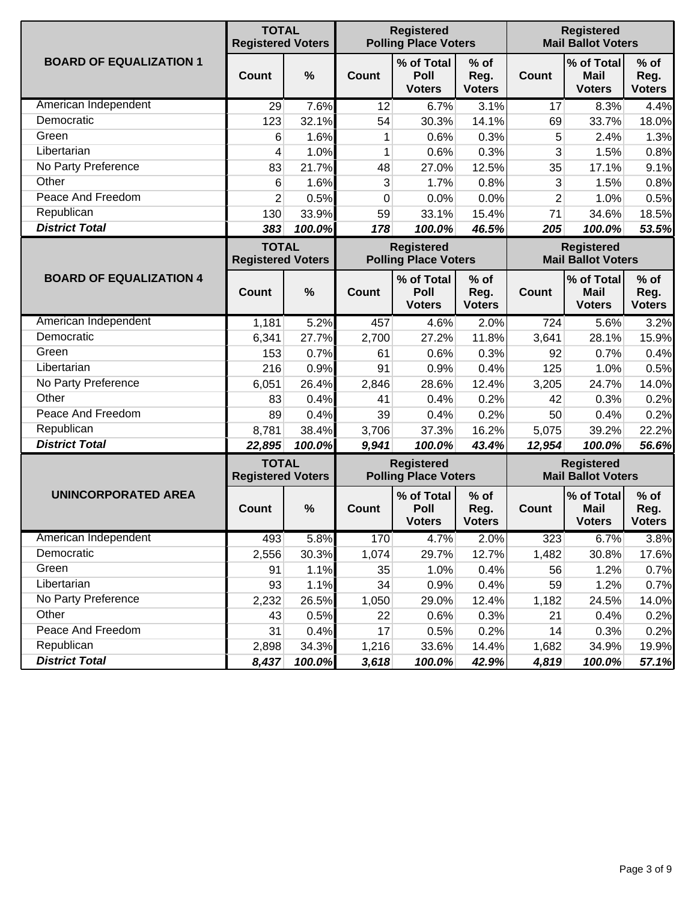|                                | <b>TOTAL</b><br><b>Registered Voters</b> |        |          | <b>Registered</b><br><b>Polling Place Voters</b> |                                 |                | <b>Registered</b><br><b>Mail Ballot Voters</b> |                                 |  |  |  |
|--------------------------------|------------------------------------------|--------|----------|--------------------------------------------------|---------------------------------|----------------|------------------------------------------------|---------------------------------|--|--|--|
| <b>BOARD OF EQUALIZATION 1</b> | Count                                    | %      | Count    | % of Total<br>Poll<br><b>Voters</b>              | $%$ of<br>Reg.<br><b>Voters</b> | <b>Count</b>   | % of Total<br><b>Mail</b><br><b>Voters</b>     | $%$ of<br>Reg.<br><b>Voters</b> |  |  |  |
| American Independent           | 29                                       | 7.6%   | 12       | 6.7%                                             | 3.1%                            | 17             | 8.3%                                           | 4.4%                            |  |  |  |
| Democratic                     | 123                                      | 32.1%  | 54       | 30.3%                                            | 14.1%                           | 69             | 33.7%                                          | 18.0%                           |  |  |  |
| Green                          | 6                                        | 1.6%   | 1        | 0.6%                                             | 0.3%                            | 5              | 2.4%                                           | 1.3%                            |  |  |  |
| Libertarian                    | 4                                        | 1.0%   | 1        | 0.6%                                             | 0.3%                            | 3              | 1.5%                                           | 0.8%                            |  |  |  |
| No Party Preference            | 83                                       | 21.7%  | 48       | 27.0%                                            | 12.5%                           | 35             | 17.1%                                          | 9.1%                            |  |  |  |
| Other                          | 6                                        | 1.6%   | 3        | 1.7%                                             | 0.8%                            | 3              | 1.5%                                           | 0.8%                            |  |  |  |
| Peace And Freedom              | $\overline{2}$                           | 0.5%   | $\Omega$ | 0.0%                                             | 0.0%                            | $\overline{2}$ | 1.0%                                           | 0.5%                            |  |  |  |
| Republican                     | 130                                      | 33.9%  | 59       | 33.1%                                            | 15.4%                           | 71             | 34.6%                                          | 18.5%                           |  |  |  |
| <b>District Total</b>          | 383                                      | 100.0% | 178      | 100.0%                                           | 46.5%                           | 205            | 100.0%                                         | 53.5%                           |  |  |  |
|                                | <b>TOTAL</b><br><b>Registered Voters</b> |        |          | <b>Registered</b><br><b>Polling Place Voters</b> |                                 |                | <b>Registered</b><br><b>Mail Ballot Voters</b> |                                 |  |  |  |
| <b>BOARD OF EQUALIZATION 4</b> | Count                                    | %      | Count    | % of Total<br>Poll<br><b>Voters</b>              | $%$ of<br>Reg.<br><b>Voters</b> | <b>Count</b>   | % of Total<br><b>Mail</b><br><b>Voters</b>     | $%$ of<br>Reg.<br><b>Voters</b> |  |  |  |
| American Independent           | 1,181                                    | 5.2%   | 457      | 4.6%                                             | 2.0%                            | 724            | 5.6%                                           | 3.2%                            |  |  |  |
| Democratic                     | 6,341                                    | 27.7%  | 2,700    | 27.2%                                            | 11.8%                           | 3,641          | 28.1%                                          | 15.9%                           |  |  |  |
| Green                          | 153                                      | 0.7%   | 61       | 0.6%                                             | 0.3%                            | 92             | 0.7%                                           | 0.4%                            |  |  |  |
| Libertarian                    | 216                                      | 0.9%   | 91       | 0.9%                                             | 0.4%                            | 125            | 1.0%                                           | 0.5%                            |  |  |  |
| No Party Preference            | 6,051                                    | 26.4%  | 2,846    | 28.6%                                            | 12.4%                           | 3,205          | 24.7%                                          | 14.0%                           |  |  |  |
| Other                          | 83                                       | 0.4%   | 41       | 0.4%                                             | 0.2%                            | 42             | 0.3%                                           | 0.2%                            |  |  |  |
| Peace And Freedom              | 89                                       | 0.4%   | 39       | 0.4%                                             | 0.2%                            | 50             | 0.4%                                           | 0.2%                            |  |  |  |
| Republican                     | 8,781                                    | 38.4%  | 3,706    | 37.3%                                            | 16.2%                           | 5,075          | 39.2%                                          | 22.2%                           |  |  |  |
| <b>District Total</b>          | 22,895                                   | 100.0% | 9,941    | 100.0%                                           | 43.4%                           | 12,954         | 100.0%                                         | 56.6%                           |  |  |  |
|                                | <b>TOTAL</b><br><b>Registered Voters</b> |        |          | <b>Registered</b><br><b>Polling Place Voters</b> |                                 |                | <b>Registered</b><br><b>Mail Ballot Voters</b> |                                 |  |  |  |
| <b>UNINCORPORATED AREA</b>     | Count                                    | %      | Count    | % of Total<br>Poll<br><b>Voters</b>              | $%$ of<br>Reg.<br><b>Voters</b> | <b>Count</b>   | % of Total<br><b>Mail</b><br><b>Voters</b>     | $%$ of<br>Reg.<br><b>Voters</b> |  |  |  |
| American Independent           | 493                                      | 5.8%   | 170      | 4.7%                                             | 2.0%                            | 323            | 6.7%                                           | 3.8%                            |  |  |  |
| Democratic                     | 2,556                                    | 30.3%  | 1,074    | 29.7%                                            | 12.7%                           | 1,482          | 30.8%                                          | 17.6%                           |  |  |  |
| Green                          | 91                                       | 1.1%   | 35       | 1.0%                                             | 0.4%                            | 56             | 1.2%                                           | 0.7%                            |  |  |  |
| Libertarian                    | 93                                       | 1.1%   | 34       | 0.9%                                             | 0.4%                            | 59             | 1.2%                                           | 0.7%                            |  |  |  |
| No Party Preference            | 2,232                                    | 26.5%  | 1,050    | 29.0%                                            | 12.4%                           | 1,182          | 24.5%                                          | 14.0%                           |  |  |  |
| Other                          | 43                                       | 0.5%   | 22       | 0.6%                                             | 0.3%                            | 21             | 0.4%                                           | 0.2%                            |  |  |  |
| Peace And Freedom              | 31                                       | 0.4%   | 17       | 0.5%                                             | 0.2%                            | 14             | 0.3%                                           | 0.2%                            |  |  |  |
| Republican                     | 2,898                                    | 34.3%  | 1,216    | 33.6%                                            | 14.4%                           | 1,682          | 34.9%                                          | 19.9%                           |  |  |  |
| <b>District Total</b>          | 8,437                                    | 100.0% | 3,618    | 100.0%                                           | 42.9%                           | 4,819          | 100.0%                                         | 57.1%                           |  |  |  |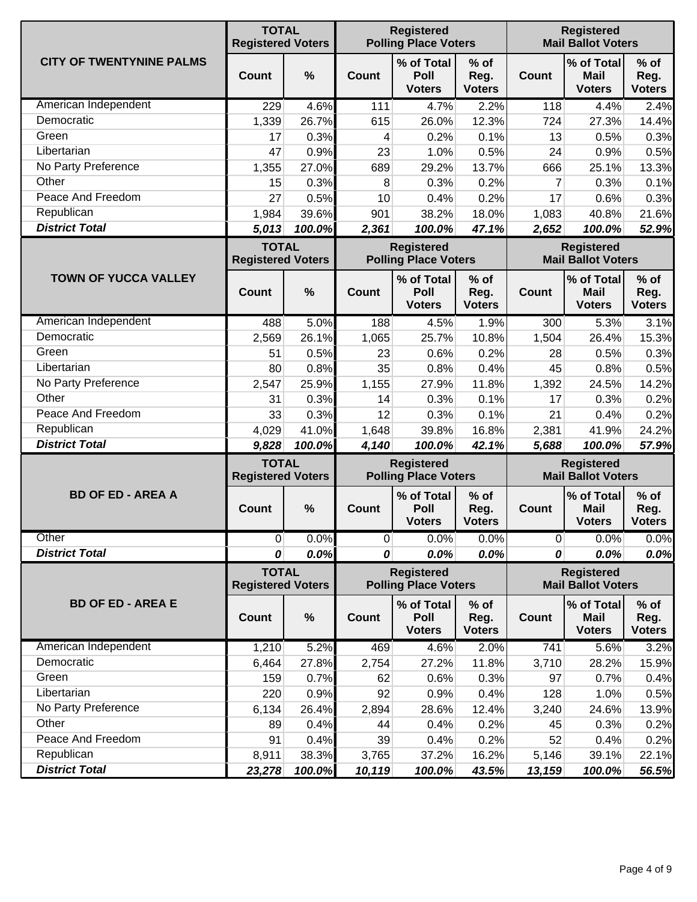|                                 | <b>TOTAL</b><br><b>Registered Voters</b> |        | <b>Registered</b><br><b>Polling Place Voters</b> |                                                  |                                 |                                                | <b>Registered</b><br><b>Mail Ballot Voters</b> |                                 |  |  |
|---------------------------------|------------------------------------------|--------|--------------------------------------------------|--------------------------------------------------|---------------------------------|------------------------------------------------|------------------------------------------------|---------------------------------|--|--|
| <b>CITY OF TWENTYNINE PALMS</b> | <b>Count</b>                             | $\%$   | Count                                            | % of Total<br>Poll<br><b>Voters</b>              | $%$ of<br>Reg.<br><b>Voters</b> | <b>Count</b>                                   | % of Total<br><b>Mail</b><br><b>Voters</b>     | $%$ of<br>Reg.<br><b>Voters</b> |  |  |
| American Independent            | 229                                      | 4.6%   | 111                                              | 4.7%                                             | 2.2%                            | 118                                            | 4.4%                                           | 2.4%                            |  |  |
| Democratic                      | 1,339                                    | 26.7%  | 615                                              | 26.0%                                            | 12.3%                           | 724                                            | 27.3%                                          | 14.4%                           |  |  |
| Green                           | 17                                       | 0.3%   | 4                                                | 0.2%                                             | 0.1%                            | 13                                             | 0.5%                                           | 0.3%                            |  |  |
| Libertarian                     | 47                                       | 0.9%   | 23                                               | 1.0%                                             | 0.5%                            | 24                                             | 0.9%                                           | 0.5%                            |  |  |
| No Party Preference             | 1,355                                    | 27.0%  | 689                                              | 29.2%                                            | 13.7%                           | 666                                            | 25.1%                                          | 13.3%                           |  |  |
| Other                           | 15                                       | 0.3%   | 8                                                | 0.3%                                             | 0.2%                            | 7                                              | 0.3%                                           | 0.1%                            |  |  |
| Peace And Freedom               | 27                                       | 0.5%   | 10                                               | 0.4%                                             | 0.2%                            | 17                                             | 0.6%                                           | 0.3%                            |  |  |
| Republican                      | 1,984                                    | 39.6%  | 901                                              | 38.2%                                            | 18.0%                           | 1,083                                          | 40.8%                                          | 21.6%                           |  |  |
| <b>District Total</b>           | 5,013                                    | 100.0% | 2,361                                            | 100.0%                                           | 47.1%                           | 2,652                                          | 100.0%                                         | 52.9%                           |  |  |
|                                 | <b>TOTAL</b><br><b>Registered Voters</b> |        |                                                  | <b>Registered</b><br><b>Polling Place Voters</b> |                                 |                                                | <b>Registered</b><br><b>Mail Ballot Voters</b> |                                 |  |  |
| <b>TOWN OF YUCCA VALLEY</b>     | Count                                    | $\%$   | Count                                            | % of Total<br>Poll<br><b>Voters</b>              | $%$ of<br>Reg.<br><b>Voters</b> | <b>Count</b>                                   | % of Total<br>Mail<br><b>Voters</b>            | $%$ of<br>Reg.<br><b>Voters</b> |  |  |
| American Independent            | 488                                      | 5.0%   | 188                                              | 4.5%                                             | 1.9%                            | 300                                            | 5.3%                                           | 3.1%                            |  |  |
| Democratic                      | 2,569                                    | 26.1%  | 1,065                                            | 25.7%                                            | 10.8%                           | 1,504                                          | 26.4%                                          | 15.3%                           |  |  |
| Green                           | 51                                       | 0.5%   | 23                                               | 0.6%                                             | 0.2%                            | 28                                             | 0.5%                                           | 0.3%                            |  |  |
| Libertarian                     | 80                                       | 0.8%   | 35                                               | 0.8%                                             | 0.4%                            | 45                                             | 0.8%                                           | 0.5%                            |  |  |
| No Party Preference             | 2,547                                    | 25.9%  | 1,155                                            | 27.9%                                            | 11.8%                           | 1,392                                          | 24.5%                                          | 14.2%                           |  |  |
| Other                           | 31                                       | 0.3%   | 14                                               | 0.3%                                             | 0.1%                            | 17                                             | 0.3%                                           | 0.2%                            |  |  |
| Peace And Freedom               | 33                                       | 0.3%   | 12                                               | 0.3%                                             | 0.1%                            | 21                                             | 0.4%                                           | 0.2%                            |  |  |
| Republican                      | 4,029                                    | 41.0%  | 1,648                                            | 39.8%                                            | 16.8%                           | 2,381                                          | 41.9%                                          | 24.2%                           |  |  |
| <b>District Total</b>           | 9,828                                    | 100.0% | 4,140                                            | 100.0%                                           | 42.1%                           | 5,688                                          | 100.0%                                         | 57.9%                           |  |  |
|                                 | <b>TOTAL</b><br><b>Registered Voters</b> |        | <b>Registered</b><br><b>Polling Place Voters</b> |                                                  |                                 |                                                | <b>Registered</b><br><b>Mail Ballot Voters</b> | $%$ of<br><b>Mail</b>           |  |  |
| <b>BD OF ED - AREA A</b>        | <b>Count</b>                             | $\%$   | <b>Count</b>                                     | % of Total<br>Poll<br><b>Voters</b>              | $%$ of<br>Reg.<br><b>Voters</b> | Count                                          | % of Total<br><b>Voters</b>                    | Reg.<br><b>Voters</b>           |  |  |
| Other                           | $\overline{0}$                           | 0.0%   | $\overline{0}$                                   | 0.0%                                             | 0.0%                            | $\overline{0}$                                 | 0.0%                                           | 0.0%                            |  |  |
| <b>District Total</b>           | 0                                        | 0.0%   | 0                                                | 0.0%                                             | 0.0%                            | 0                                              | 0.0%                                           | 0.0%                            |  |  |
|                                 | <b>TOTAL</b><br><b>Registered Voters</b> |        |                                                  | <b>Registered</b><br><b>Polling Place Voters</b> |                                 | <b>Registered</b><br><b>Mail Ballot Voters</b> |                                                |                                 |  |  |
| <b>BD OF ED - AREA E</b>        | <b>Count</b>                             | $\%$   | Count                                            | % of Total<br>Poll<br><b>Voters</b>              | $%$ of<br>Reg.<br><b>Voters</b> | <b>Count</b>                                   | % of Total<br>Mail<br><b>Voters</b>            | $%$ of<br>Reg.<br><b>Voters</b> |  |  |
| American Independent            | 1,210                                    | 5.2%   | 469                                              | 4.6%                                             | 2.0%                            | 741                                            | 5.6%                                           | 3.2%                            |  |  |
| Democratic                      | 6,464                                    | 27.8%  | 2,754                                            | 27.2%                                            | 11.8%                           | 3,710                                          | 28.2%                                          | 15.9%                           |  |  |
| Green                           | 159                                      | 0.7%   | 62                                               | 0.6%                                             | 0.3%                            | 97                                             | 0.7%                                           | 0.4%                            |  |  |
| Libertarian                     | 220                                      | 0.9%   | 92                                               | 0.9%                                             | 0.4%                            | 128                                            | 1.0%                                           | 0.5%                            |  |  |
| No Party Preference             | 6,134                                    | 26.4%  | 2,894                                            | 28.6%                                            | 12.4%                           | 3,240                                          | 24.6%                                          | 13.9%                           |  |  |
| Other                           | 89                                       | 0.4%   | 44                                               | 0.4%                                             | 0.2%                            | 45                                             | 0.3%                                           | 0.2%                            |  |  |
| Peace And Freedom               | 91                                       | 0.4%   | 39                                               | 0.4%                                             | 0.2%                            | 52                                             | 0.4%                                           | 0.2%                            |  |  |
| Republican                      | 8,911                                    | 38.3%  | 3,765                                            | 37.2%                                            | 16.2%                           | 5,146                                          | 39.1%                                          | 22.1%                           |  |  |
| <b>District Total</b>           | 23,278                                   | 100.0% | 10,119                                           | 100.0%                                           | 43.5%                           | 13,159                                         | 100.0%                                         | 56.5%                           |  |  |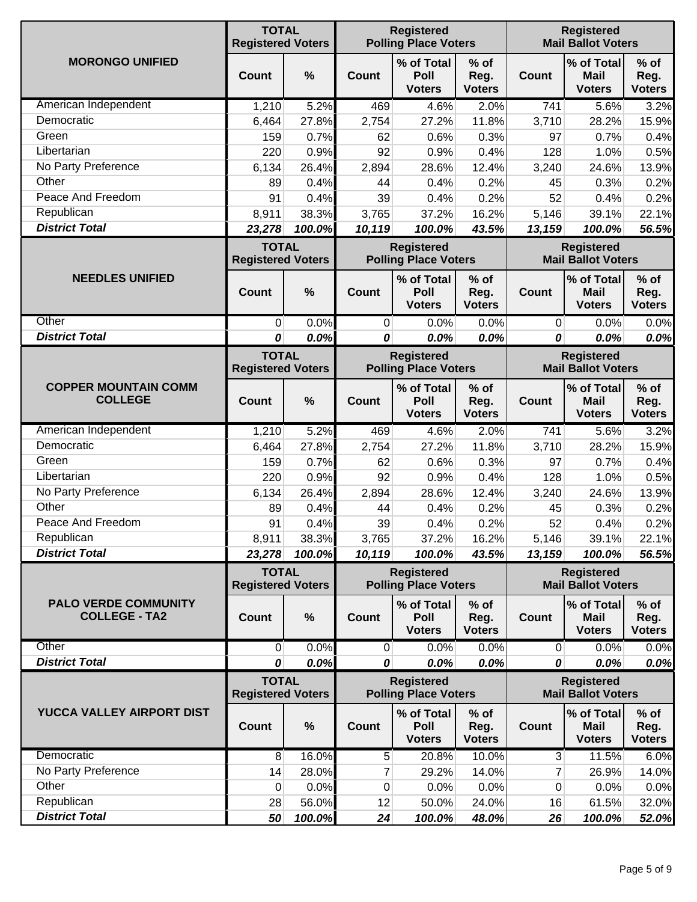|                                                     | <b>TOTAL</b><br><b>Registered Voters</b> |                                                  |                | <b>Registered</b><br><b>Polling Place Voters</b> |                                                |                | <b>Registered</b><br><b>Mail Ballot Voters</b> |                                 |  |  |
|-----------------------------------------------------|------------------------------------------|--------------------------------------------------|----------------|--------------------------------------------------|------------------------------------------------|----------------|------------------------------------------------|---------------------------------|--|--|
| <b>MORONGO UNIFIED</b>                              | <b>Count</b>                             | $\frac{0}{0}$                                    | Count          | % of Total<br>Poll<br><b>Voters</b>              | % of<br>Reg.<br><b>Voters</b>                  | <b>Count</b>   | % of Total<br><b>Mail</b><br><b>Voters</b>     | $%$ of<br>Reg.<br><b>Voters</b> |  |  |
| American Independent                                | 1,210                                    | 5.2%                                             | 469            | 4.6%                                             | 2.0%                                           | 741            | 5.6%                                           | 3.2%                            |  |  |
| Democratic                                          | 6,464                                    | 27.8%                                            | 2,754          | 27.2%                                            | 11.8%                                          | 3,710          | 28.2%                                          | 15.9%                           |  |  |
| Green                                               | 159                                      | 0.7%                                             | 62             | 0.6%                                             | 0.3%                                           | 97             | 0.7%                                           | 0.4%                            |  |  |
| Libertarian                                         | 220                                      | 0.9%                                             | 92             | 0.9%                                             | 0.4%                                           | 128            | 1.0%                                           | 0.5%                            |  |  |
| No Party Preference                                 | 6,134                                    | 26.4%                                            | 2,894          | 28.6%                                            | 12.4%                                          | 3,240          | 24.6%                                          | 13.9%                           |  |  |
| Other                                               | 89                                       | 0.4%                                             | 44             | 0.4%                                             | 0.2%                                           | 45             | 0.3%                                           | 0.2%                            |  |  |
| Peace And Freedom                                   | 91                                       | 0.4%                                             | 39             | 0.4%                                             | 0.2%                                           | 52             | 0.4%                                           | 0.2%                            |  |  |
| Republican                                          | 8,911                                    | 38.3%                                            | 3,765          | 37.2%                                            | 16.2%                                          | 5,146          | 39.1%                                          | 22.1%                           |  |  |
| <b>District Total</b>                               | 23,278                                   | 100.0%                                           | 10,119         | 100.0%                                           | 43.5%                                          | 13,159         | 100.0%                                         | 56.5%                           |  |  |
|                                                     | <b>TOTAL</b><br><b>Registered Voters</b> |                                                  |                | <b>Registered</b><br><b>Polling Place Voters</b> |                                                |                | <b>Registered</b><br><b>Mail Ballot Voters</b> |                                 |  |  |
| <b>NEEDLES UNIFIED</b>                              | Count                                    | $\frac{0}{0}$                                    | Count          | % of Total<br>Poll<br><b>Voters</b>              | $%$ of<br>Reg.<br><b>Voters</b>                | <b>Count</b>   | % of Total<br><b>Mail</b><br><b>Voters</b>     | $%$ of<br>Reg.<br><b>Voters</b> |  |  |
| Other                                               | 0                                        | 0.0%                                             | $\overline{0}$ | 0.0%                                             | 0.0%                                           | $\overline{0}$ | 0.0%                                           | 0.0%                            |  |  |
| <b>District Total</b>                               | 0                                        | 0.0%                                             | 0              | 0.0%                                             | 0.0%                                           | 0              | 0.0%                                           | 0.0%                            |  |  |
|                                                     | <b>TOTAL</b><br><b>Registered Voters</b> | <b>Registered</b><br><b>Polling Place Voters</b> |                |                                                  | <b>Registered</b><br><b>Mail Ballot Voters</b> |                |                                                |                                 |  |  |
| <b>COPPER MOUNTAIN COMM</b><br><b>COLLEGE</b>       | Count                                    | %                                                | Count          | % of Total<br>Poll<br><b>Voters</b>              | $%$ of<br>Reg.<br><b>Voters</b>                | <b>Count</b>   | % of Total<br><b>Mail</b><br><b>Voters</b>     | $%$ of<br>Reg.<br><b>Voters</b> |  |  |
| American Independent                                | 1,210                                    | 5.2%                                             | 469            | 4.6%                                             | 2.0%                                           | 741            | 5.6%                                           | 3.2%                            |  |  |
| Democratic                                          | 6,464                                    | 27.8%                                            | 2,754          | 27.2%                                            | 11.8%                                          | 3,710          | 28.2%                                          | 15.9%                           |  |  |
| Green                                               | 159                                      | 0.7%                                             | 62             | 0.6%                                             | 0.3%                                           | 97             | 0.7%                                           | 0.4%                            |  |  |
| Libertarian                                         | 220                                      | 0.9%                                             | 92             | 0.9%                                             | 0.4%                                           | 128            | 1.0%                                           | 0.5%                            |  |  |
| No Party Preference                                 | 6,134                                    | 26.4%                                            | 2,894          | 28.6%                                            | 12.4%                                          | 3,240          | 24.6%                                          | 13.9%                           |  |  |
| Other                                               | 89                                       | 0.4%                                             | 44             | 0.4%                                             | 0.2%                                           | 45             | 0.3%                                           | 0.2%                            |  |  |
| Peace And Freedom                                   | 91                                       | 0.4%                                             | 39             | 0.4%                                             | 0.2%                                           | 52             | 0.4%                                           | 0.2%                            |  |  |
| Republican                                          | 8,911                                    | 38.3%                                            | 3,765          | 37.2%                                            | 16.2%                                          | 5,146          | 39.1%                                          | 22.1%                           |  |  |
| <b>District Total</b>                               | 23,278                                   | 100.0%                                           | 10,119         | 100.0%                                           | 43.5%                                          | 13,159         | 100.0%                                         | 56.5%                           |  |  |
|                                                     | <b>TOTAL</b><br><b>Registered Voters</b> |                                                  |                | <b>Registered</b><br><b>Polling Place Voters</b> |                                                |                | <b>Registered</b><br><b>Mail Ballot Voters</b> |                                 |  |  |
| <b>PALO VERDE COMMUNITY</b><br><b>COLLEGE - TA2</b> | <b>Count</b>                             | $\%$                                             | Count          | % of Total<br><b>Poll</b><br><b>Voters</b>       | % of<br>Reg.<br><b>Voters</b>                  | Count          | % of Total<br><b>Mail</b><br><b>Voters</b>     | $%$ of<br>Reg.<br><b>Voters</b> |  |  |
| Other                                               | $\overline{0}$                           | 0.0%                                             | $\overline{0}$ | 0.0%                                             | 0.0%                                           | $\overline{0}$ | 0.0%                                           | 0.0%                            |  |  |
| <b>District Total</b>                               | 0                                        | 0.0%                                             | 0              | 0.0%                                             | 0.0%                                           | 0              | 0.0%                                           | 0.0%                            |  |  |
|                                                     | <b>TOTAL</b><br><b>Registered Voters</b> |                                                  |                | <b>Registered</b><br><b>Polling Place Voters</b> |                                                |                | <b>Registered</b><br><b>Mail Ballot Voters</b> |                                 |  |  |
| YUCCA VALLEY AIRPORT DIST                           | Count                                    | $\%$                                             | Count          | % of Total<br>Poll<br><b>Voters</b>              | % of<br>Reg.<br><b>Voters</b>                  | <b>Count</b>   | % of Total<br><b>Mail</b><br><b>Voters</b>     | $%$ of<br>Reg.<br><b>Voters</b> |  |  |
| Democratic                                          | 8                                        | 16.0%                                            | 5              | 20.8%                                            | 10.0%                                          | $\mathbf{3}$   | 11.5%                                          | 6.0%                            |  |  |
| No Party Preference                                 | 14                                       | 28.0%                                            | 7              | 29.2%                                            | 14.0%                                          | 7              | 26.9%                                          | 14.0%                           |  |  |
| Other                                               | 0                                        | 0.0%                                             | 0              | 0.0%                                             | 0.0%                                           | 0              | 0.0%                                           | 0.0%                            |  |  |
| Republican                                          | 28                                       | 56.0%                                            | 12             | 50.0%                                            | 24.0%                                          | 16             | 61.5%                                          | 32.0%                           |  |  |
| <b>District Total</b>                               | 50                                       | 100.0%                                           | 24             | 100.0%                                           | 48.0%                                          | 26             | 100.0%                                         | 52.0%                           |  |  |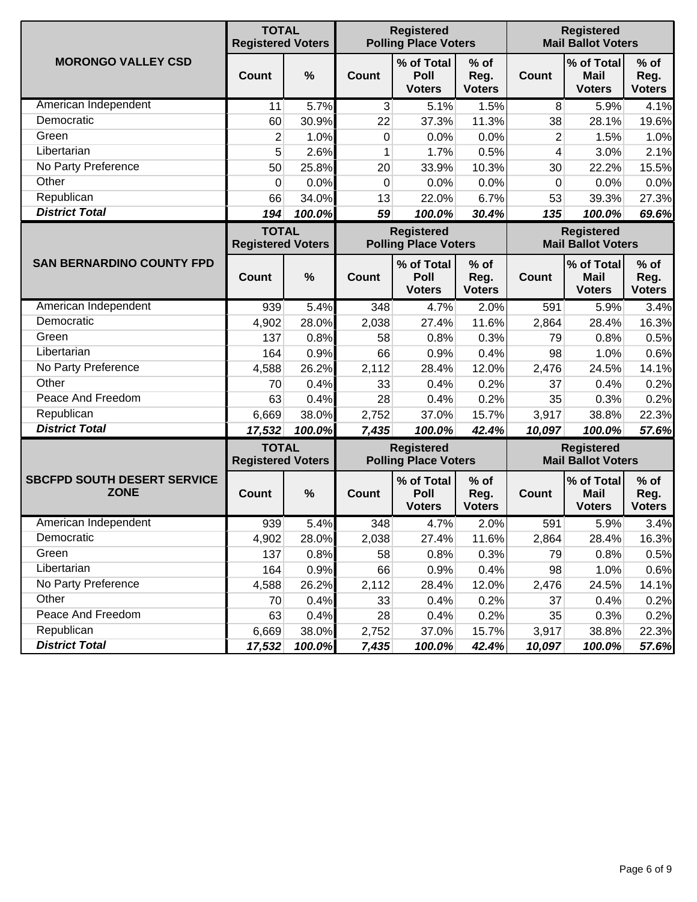|                                                   | <b>TOTAL</b><br><b>Registered Voters</b> |        |       | <b>Registered</b><br><b>Polling Place Voters</b> |                                 |                                                | <b>Registered</b><br><b>Mail Ballot Voters</b> |                                 |  |  |
|---------------------------------------------------|------------------------------------------|--------|-------|--------------------------------------------------|---------------------------------|------------------------------------------------|------------------------------------------------|---------------------------------|--|--|
| <b>MORONGO VALLEY CSD</b>                         | Count                                    | %      | Count | % of Total<br>Poll<br><b>Voters</b>              | $%$ of<br>Reg.<br><b>Voters</b> | <b>Count</b>                                   | % of Total<br><b>Mail</b><br><b>Voters</b>     | $%$ of<br>Reg.<br><b>Voters</b> |  |  |
| American Independent                              | 11                                       | 5.7%   | 3     | 5.1%                                             | 1.5%                            | 8                                              | 5.9%                                           | 4.1%                            |  |  |
| Democratic                                        | 60                                       | 30.9%  | 22    | 37.3%                                            | 11.3%                           | 38                                             | 28.1%                                          | 19.6%                           |  |  |
| Green                                             | $\overline{2}$                           | 1.0%   | 0     | 0.0%                                             | 0.0%                            | 2                                              | 1.5%                                           | 1.0%                            |  |  |
| Libertarian                                       | 5                                        | 2.6%   | 1     | 1.7%                                             | 0.5%                            | 4                                              | 3.0%                                           | 2.1%                            |  |  |
| No Party Preference                               | 50                                       | 25.8%  | 20    | 33.9%                                            | 10.3%                           | 30                                             | 22.2%                                          | 15.5%                           |  |  |
| Other                                             | 0                                        | 0.0%   | 0     | 0.0%                                             | 0.0%                            | 0                                              | 0.0%                                           | 0.0%                            |  |  |
| Republican                                        | 66                                       | 34.0%  | 13    | 22.0%                                            | 6.7%                            | 53                                             | 39.3%                                          | 27.3%                           |  |  |
| <b>District Total</b>                             | 194                                      | 100.0% | 59    | 100.0%                                           | 30.4%                           | 135                                            | 100.0%                                         | 69.6%                           |  |  |
|                                                   | <b>TOTAL</b><br><b>Registered Voters</b> |        |       | <b>Registered</b><br><b>Polling Place Voters</b> |                                 |                                                | <b>Registered</b><br><b>Mail Ballot Voters</b> | $%$ of<br>Reg.<br><b>Voters</b> |  |  |
| <b>SAN BERNARDINO COUNTY FPD</b>                  | Count                                    | %      | Count | % of Total<br>Poll<br><b>Voters</b>              | $%$ of<br>Reg.<br><b>Voters</b> | <b>Count</b>                                   | % of Total<br><b>Mail</b><br><b>Voters</b>     |                                 |  |  |
| American Independent                              | 939                                      | 5.4%   | 348   | 4.7%                                             | 2.0%                            | 591                                            | 5.9%                                           | 3.4%                            |  |  |
| Democratic                                        | 4,902                                    | 28.0%  | 2,038 | 27.4%                                            | 11.6%                           | 2,864                                          | 28.4%                                          | 16.3%                           |  |  |
| Green                                             | 137                                      | 0.8%   | 58    | 0.8%                                             | 0.3%                            | 79                                             | 0.8%                                           | 0.5%                            |  |  |
| Libertarian                                       | 164                                      | 0.9%   | 66    | 0.9%                                             | 0.4%                            | 98                                             | 1.0%                                           | 0.6%                            |  |  |
| No Party Preference                               | 4,588                                    | 26.2%  | 2,112 | 28.4%                                            | 12.0%                           | 2,476                                          | 24.5%                                          | 14.1%                           |  |  |
| Other                                             | 70                                       | 0.4%   | 33    | 0.4%                                             | 0.2%                            | 37                                             | 0.4%                                           | 0.2%                            |  |  |
| Peace And Freedom                                 | 63                                       | 0.4%   | 28    | 0.4%                                             | 0.2%                            | 35                                             | 0.3%                                           | 0.2%                            |  |  |
| Republican                                        | 6,669                                    | 38.0%  | 2,752 | 37.0%                                            | 15.7%                           | 3,917                                          | 38.8%                                          | 22.3%                           |  |  |
| <b>District Total</b>                             | 17,532                                   | 100.0% | 7,435 | 100.0%                                           | 42.4%                           | 10,097                                         | 100.0%                                         | 57.6%                           |  |  |
|                                                   | <b>TOTAL</b><br><b>Registered Voters</b> |        |       | <b>Registered</b><br><b>Polling Place Voters</b> |                                 | <b>Registered</b><br><b>Mail Ballot Voters</b> |                                                |                                 |  |  |
| <b>SBCFPD SOUTH DESERT SERVICE</b><br><b>ZONE</b> | Count                                    | %      | Count | % of Total<br>Poll<br><b>Voters</b>              | % of<br>Reg.<br><b>Voters</b>   | <b>Count</b>                                   | % of Total<br><b>Mail</b><br><b>Voters</b>     | $%$ of<br>Reg.<br><b>Voters</b> |  |  |
| American Independent                              | 939                                      | 5.4%   | 348   | 4.7%                                             | 2.0%                            | 591                                            | 5.9%                                           | 3.4%                            |  |  |
| Democratic                                        | 4,902                                    | 28.0%  | 2,038 | 27.4%                                            | 11.6%                           | 2,864                                          | 28.4%                                          | 16.3%                           |  |  |
| Green                                             | 137                                      | 0.8%   | 58    | 0.8%                                             | 0.3%                            | 79                                             | 0.8%                                           | 0.5%                            |  |  |
| Libertarian                                       | 164                                      | 0.9%   | 66    | 0.9%                                             | 0.4%                            | 98                                             | 1.0%                                           | 0.6%                            |  |  |
| No Party Preference                               | 4,588                                    | 26.2%  | 2,112 | 28.4%                                            | 12.0%                           | 2,476                                          | 24.5%                                          | 14.1%                           |  |  |
| Other                                             | 70                                       | 0.4%   | 33    | 0.4%                                             | 0.2%                            | 37                                             | 0.4%                                           | 0.2%                            |  |  |
| Peace And Freedom                                 | 63                                       | 0.4%   | 28    | 0.4%                                             | 0.2%                            | 35                                             | 0.3%                                           | 0.2%                            |  |  |
| Republican                                        | 6,669                                    | 38.0%  | 2,752 | 37.0%                                            | 15.7%                           | 3,917                                          | 38.8%                                          | 22.3%                           |  |  |
| <b>District Total</b>                             | 17,532                                   | 100.0% | 7,435 | 100.0%                                           | 42.4%                           | 10,097                                         | 100.0%                                         | 57.6%                           |  |  |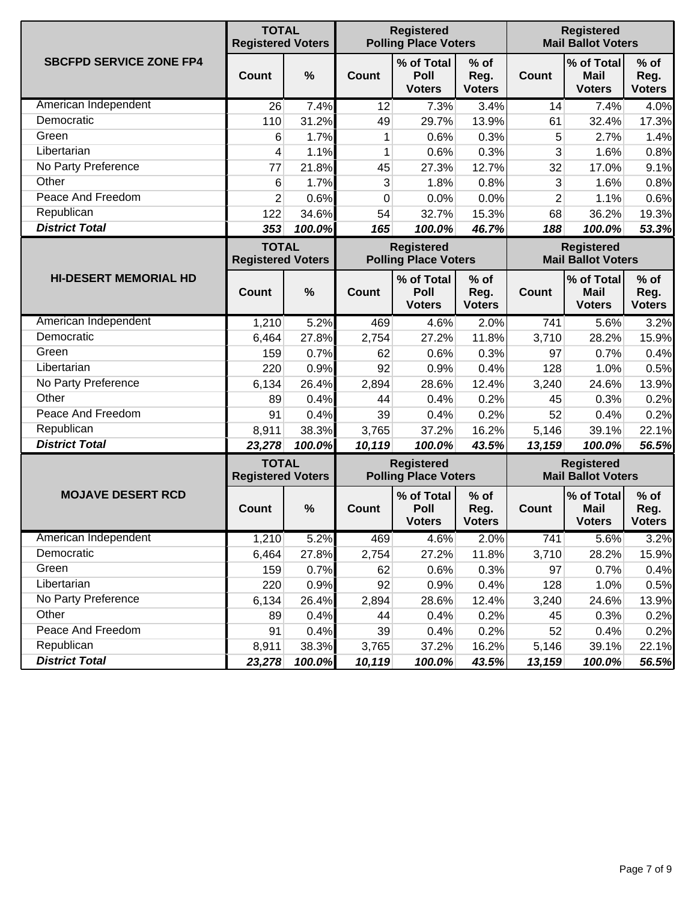|                                | <b>TOTAL</b><br><b>Registered Voters</b> |               |              | <b>Registered</b><br><b>Polling Place Voters</b> |                                 |                | <b>Registered</b><br><b>Mail Ballot Voters</b> |                                                |  |
|--------------------------------|------------------------------------------|---------------|--------------|--------------------------------------------------|---------------------------------|----------------|------------------------------------------------|------------------------------------------------|--|
| <b>SBCFPD SERVICE ZONE FP4</b> | <b>Count</b>                             | $\frac{0}{0}$ | Count        | % of Total<br>Poll<br><b>Voters</b>              | $%$ of<br>Reg.<br><b>Voters</b> | <b>Count</b>   | % of Total<br><b>Mail</b><br><b>Voters</b>     | $%$ of<br>Reg.<br><b>Voters</b>                |  |
| American Independent           | 26                                       | 7.4%          | 12           | 7.3%                                             | 3.4%                            | 14             | 7.4%                                           | 4.0%                                           |  |
| Democratic                     | 110                                      | 31.2%         | 49           | 29.7%                                            | 13.9%                           | 61             | 32.4%                                          | 17.3%                                          |  |
| Green                          | 6                                        | 1.7%          | 1            | 0.6%                                             | 0.3%                            | 5              | 2.7%                                           | 1.4%                                           |  |
| Libertarian                    | 4                                        | 1.1%          | 1            | 0.6%                                             | 0.3%                            | 3              | 1.6%                                           | 0.8%                                           |  |
| No Party Preference            | 77                                       | 21.8%         | 45           | 27.3%                                            | 12.7%                           | 32             | 17.0%                                          | 9.1%                                           |  |
| Other                          | 6                                        | 1.7%          | 3            | 1.8%                                             | 0.8%                            | 3              | 1.6%                                           | 0.8%                                           |  |
| Peace And Freedom              | 2                                        | 0.6%          | 0            | 0.0%                                             | 0.0%                            | $\overline{2}$ | 1.1%                                           | 0.6%                                           |  |
| Republican                     | 122                                      | 34.6%         | 54           | 32.7%                                            | 15.3%                           | 68             | 36.2%                                          | 19.3%                                          |  |
| <b>District Total</b>          | 353                                      | 100.0%        | 165          | 100.0%                                           | 46.7%                           | 188            | 100.0%                                         | 53.3%                                          |  |
|                                | <b>TOTAL</b><br><b>Registered Voters</b> |               |              | <b>Registered</b><br><b>Polling Place Voters</b> |                                 |                | <b>Registered</b><br><b>Mail Ballot Voters</b> |                                                |  |
| <b>HI-DESERT MEMORIAL HD</b>   | <b>Count</b>                             | $\frac{0}{0}$ | <b>Count</b> | % of Total<br>Poll<br><b>Voters</b>              | % of<br>Reg.<br><b>Voters</b>   | <b>Count</b>   | % of Total<br><b>Mail</b><br><b>Voters</b>     | $%$ of<br>Reg.<br><b>Voters</b>                |  |
| American Independent           | 1,210                                    | 5.2%          | 469          | 4.6%                                             | 2.0%                            | 741            | 5.6%                                           | 3.2%                                           |  |
| Democratic                     | 6,464                                    | 27.8%         | 2,754        | 27.2%                                            | 11.8%                           | 3,710          | 28.2%                                          | 15.9%                                          |  |
| Green                          | 159                                      | 0.7%          | 62           | 0.6%                                             | 0.3%                            | 97             | 0.7%                                           | 0.4%                                           |  |
| Libertarian                    | 220                                      | 0.9%          | 92           | 0.9%                                             | 0.4%                            | 128            | 1.0%                                           | 0.5%                                           |  |
| No Party Preference            | 6,134                                    | 26.4%         | 2,894        | 28.6%                                            | 12.4%                           | 3,240          | 24.6%                                          | 13.9%                                          |  |
| Other                          | 89                                       | 0.4%          | 44           | 0.4%                                             | 0.2%                            | 45             | 0.3%                                           | 0.2%                                           |  |
| Peace And Freedom              | 91                                       | 0.4%          | 39           | 0.4%                                             | 0.2%                            | 52             | 0.4%                                           | 0.2%                                           |  |
| Republican                     | 8,911                                    | 38.3%         | 3,765        | 37.2%                                            | 16.2%                           | 5,146          | 39.1%                                          | 22.1%                                          |  |
| <b>District Total</b>          | 23,278                                   | 100.0%        | 10,119       | 100.0%                                           | 43.5%                           | 13,159         | 100.0%                                         | 56.5%                                          |  |
|                                | <b>TOTAL</b><br><b>Registered Voters</b> |               |              | <b>Registered</b>                                | <b>Polling Place Voters</b>     |                |                                                | <b>Registered</b><br><b>Mail Ballot Voters</b> |  |
| <b>MOJAVE DESERT RCD</b>       | Count                                    | $\frac{0}{0}$ | <b>Count</b> | % of Total<br>Poll<br><b>Voters</b>              | $%$ of<br>Reg.<br><b>Voters</b> | <b>Count</b>   | % of Total<br><b>Mail</b><br><b>Voters</b>     | $%$ of<br>Reg.<br><b>Voters</b>                |  |
| American Independent           | 1,210                                    | 5.2%          | 469          | 4.6%                                             | 2.0%                            | 741            | 5.6%                                           | 3.2%                                           |  |
| Democratic                     | 6,464                                    | 27.8%         | 2,754        | 27.2%                                            | 11.8%                           | 3,710          | 28.2%                                          | 15.9%                                          |  |
| Green                          | 159                                      | 0.7%          | 62           | 0.6%                                             | 0.3%                            | 97             | 0.7%                                           | 0.4%                                           |  |
| Libertarian                    | 220                                      | 0.9%          | 92           | 0.9%                                             | 0.4%                            | 128            | 1.0%                                           | 0.5%                                           |  |
| No Party Preference            | 6,134                                    | 26.4%         | 2,894        | 28.6%                                            | 12.4%                           | 3,240          | 24.6%                                          | 13.9%                                          |  |
| Other                          | 89                                       | 0.4%          | 44           | 0.4%                                             | 0.2%                            | 45             | 0.3%                                           | 0.2%                                           |  |
| Peace And Freedom              | 91                                       | 0.4%          | 39           | 0.4%                                             | 0.2%                            | 52             | 0.4%                                           | 0.2%                                           |  |
| Republican                     | 8,911                                    | 38.3%         | 3,765        | 37.2%                                            | 16.2%                           | 5,146          | 39.1%                                          | 22.1%                                          |  |
| <b>District Total</b>          | 23,278                                   | 100.0%        | 10,119       | 100.0%                                           | 43.5%                           | 13,159         | 100.0%                                         | 56.5%                                          |  |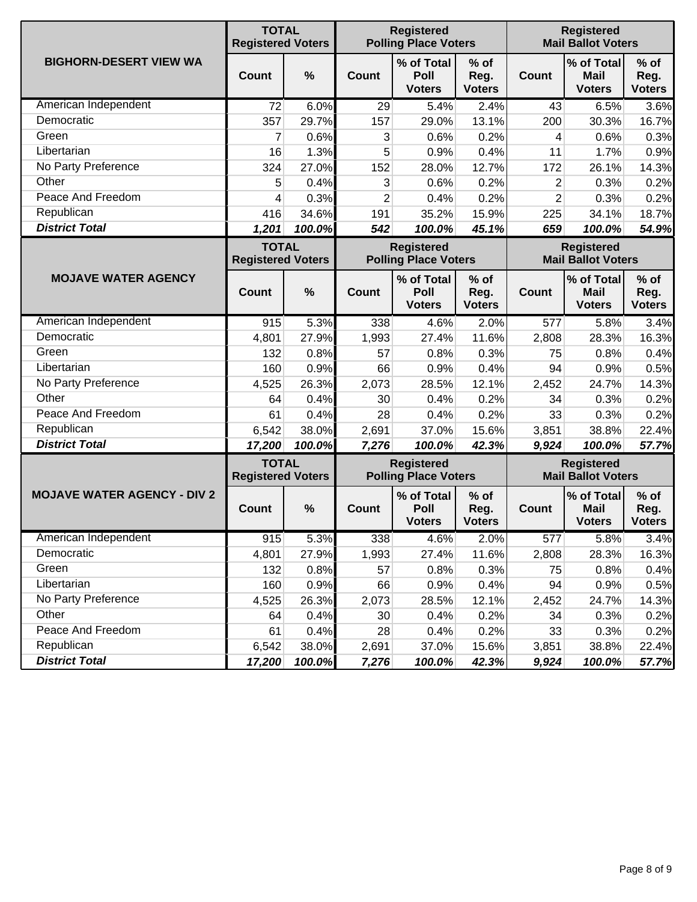|                                    | <b>TOTAL</b><br><b>Registered Voters</b> |               | <b>Registered</b><br><b>Polling Place Voters</b> |                                                  |                                 |                | <b>Registered</b><br><b>Mail Ballot Voters</b> |                                 |  |
|------------------------------------|------------------------------------------|---------------|--------------------------------------------------|--------------------------------------------------|---------------------------------|----------------|------------------------------------------------|---------------------------------|--|
| <b>BIGHORN-DESERT VIEW WA</b>      | <b>Count</b>                             | $\frac{0}{0}$ | Count                                            | % of Total<br>Poll<br><b>Voters</b>              | % of<br>Reg.<br><b>Voters</b>   | <b>Count</b>   | % of Total<br><b>Mail</b><br><b>Voters</b>     | $%$ of<br>Reg.<br><b>Voters</b> |  |
| American Independent               | 72                                       | 6.0%          | 29                                               | 5.4%                                             | 2.4%                            | 43             | 6.5%                                           | 3.6%                            |  |
| Democratic                         | 357                                      | 29.7%         | 157                                              | 29.0%                                            | 13.1%                           | 200            | 30.3%                                          | 16.7%                           |  |
| Green                              | 7                                        | 0.6%          | 3                                                | 0.6%                                             | 0.2%                            | 4              | 0.6%                                           | 0.3%                            |  |
| Libertarian                        | 16                                       | 1.3%          | 5                                                | 0.9%                                             | 0.4%                            | 11             | 1.7%                                           | 0.9%                            |  |
| No Party Preference                | 324                                      | 27.0%         | 152                                              | 28.0%                                            | 12.7%                           | 172            | 26.1%                                          | 14.3%                           |  |
| Other                              | 5                                        | 0.4%          | 3                                                | 0.6%                                             | 0.2%                            | $\overline{2}$ | 0.3%                                           | 0.2%                            |  |
| Peace And Freedom                  | 4                                        | 0.3%          | $\overline{2}$                                   | 0.4%                                             | 0.2%                            | $\overline{2}$ | 0.3%                                           | 0.2%                            |  |
| Republican                         | 416                                      | 34.6%         | 191                                              | 35.2%                                            | 15.9%                           | 225            | 34.1%                                          | 18.7%                           |  |
| <b>District Total</b>              | 1,201                                    | 100.0%        | 542                                              | 100.0%                                           | 45.1%                           | 659            | 100.0%                                         | 54.9%                           |  |
|                                    | <b>TOTAL</b><br><b>Registered Voters</b> |               |                                                  | <b>Registered</b><br><b>Polling Place Voters</b> |                                 |                | <b>Registered</b><br><b>Mail Ballot Voters</b> |                                 |  |
| <b>MOJAVE WATER AGENCY</b>         | <b>Count</b>                             | $\frac{0}{0}$ | <b>Count</b>                                     | % of Total<br>Poll<br><b>Voters</b>              | $%$ of<br>Reg.<br><b>Voters</b> | <b>Count</b>   | % of Total<br><b>Mail</b><br><b>Voters</b>     | $%$ of<br>Reg.<br><b>Voters</b> |  |
| American Independent               | 915                                      | 5.3%          | 338                                              | 4.6%                                             | 2.0%                            | 577            | 5.8%                                           | 3.4%                            |  |
| Democratic                         | 4,801                                    | 27.9%         | 1,993                                            | 27.4%                                            | 11.6%                           | 2,808          | 28.3%                                          | 16.3%                           |  |
| Green                              | 132                                      | 0.8%          | 57                                               | 0.8%                                             | 0.3%                            | 75             | 0.8%                                           | 0.4%                            |  |
| Libertarian                        | 160                                      | 0.9%          | 66                                               | 0.9%                                             | 0.4%                            | 94             | 0.9%                                           | 0.5%                            |  |
| No Party Preference                | 4,525                                    | 26.3%         | 2,073                                            | 28.5%                                            | 12.1%                           | 2,452          | 24.7%                                          | 14.3%                           |  |
| Other                              | 64                                       | 0.4%          | 30                                               | 0.4%                                             | 0.2%                            | 34             | 0.3%                                           | 0.2%                            |  |
| Peace And Freedom                  | 61                                       | 0.4%          | 28                                               | 0.4%                                             | 0.2%                            | 33             | 0.3%                                           | 0.2%                            |  |
| Republican                         | 6,542                                    | 38.0%         | 2,691                                            | 37.0%                                            | 15.6%                           | 3,851          | 38.8%                                          | 22.4%                           |  |
| <b>District Total</b>              | 17,200                                   | 100.0%        | 7,276                                            | 100.0%                                           | 42.3%                           | 9,924          | 100.0%                                         | 57.7%                           |  |
|                                    | <b>TOTAL</b><br><b>Registered Voters</b> |               |                                                  | <b>Registered</b><br><b>Polling Place Voters</b> |                                 |                | <b>Registered</b><br><b>Mail Ballot Voters</b> |                                 |  |
| <b>MOJAVE WATER AGENCY - DIV 2</b> | Count                                    | $\frac{0}{0}$ | <b>Count</b>                                     | % of Total<br>Poll<br><b>Voters</b>              | $%$ of<br>Reg.<br><b>Voters</b> | <b>Count</b>   | % of Total<br><b>Mail</b><br><b>Voters</b>     | $%$ of<br>Reg.<br><b>Voters</b> |  |
| American Independent               | 915                                      | 5.3%          | 338                                              | 4.6%                                             | 2.0%                            | 577            | 5.8%                                           | 3.4%                            |  |
| Democratic                         | 4,801                                    | 27.9%         | 1,993                                            | 27.4%                                            | 11.6%                           | 2,808          | 28.3%                                          | 16.3%                           |  |
| Green                              | 132                                      | 0.8%          | 57                                               | 0.8%                                             | 0.3%                            | 75             | 0.8%                                           | 0.4%                            |  |
| Libertarian                        | 160                                      | 0.9%          | 66                                               | 0.9%                                             | 0.4%                            | 94             | 0.9%                                           | 0.5%                            |  |
| No Party Preference                | 4,525                                    | 26.3%         | 2,073                                            | 28.5%                                            | 12.1%                           | 2,452          | 24.7%                                          | 14.3%                           |  |
| Other                              | 64                                       | 0.4%          | 30                                               | 0.4%                                             | 0.2%                            | 34             | 0.3%                                           | 0.2%                            |  |
| Peace And Freedom                  | 61                                       | 0.4%          | 28                                               | 0.4%                                             | 0.2%                            | 33             | 0.3%                                           | 0.2%                            |  |
| Republican                         | 6,542                                    | 38.0%         | 2,691                                            | 37.0%                                            | 15.6%                           | 3,851          | 38.8%                                          | 22.4%                           |  |
| <b>District Total</b>              | 17,200                                   | 100.0%        | 7,276                                            | 100.0%                                           | 42.3%                           | 9,924          | 100.0%                                         | 57.7%                           |  |